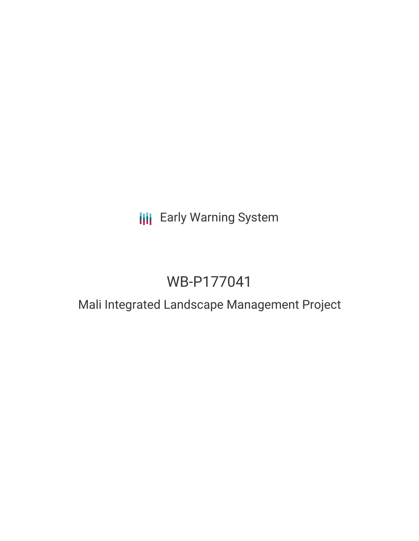# **III** Early Warning System

# WB-P177041

# Mali Integrated Landscape Management Project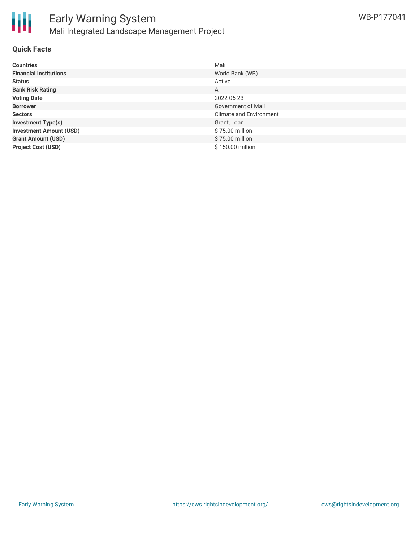

### **Quick Facts**

| <b>Countries</b>               | Mali                           |
|--------------------------------|--------------------------------|
| <b>Financial Institutions</b>  | World Bank (WB)                |
| <b>Status</b>                  | Active                         |
| <b>Bank Risk Rating</b>        | A                              |
| <b>Voting Date</b>             | 2022-06-23                     |
| <b>Borrower</b>                | Government of Mali             |
| <b>Sectors</b>                 | <b>Climate and Environment</b> |
| <b>Investment Type(s)</b>      | Grant, Loan                    |
| <b>Investment Amount (USD)</b> | \$75.00 million                |
| <b>Grant Amount (USD)</b>      | \$75.00 million                |
| <b>Project Cost (USD)</b>      | \$150.00 million               |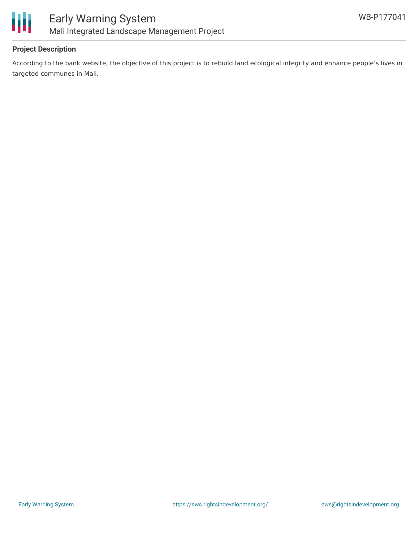

## **Project Description**

According to the bank website, the objective of this project is to rebuild land ecological integrity and enhance people's lives in targeted communes in Mali.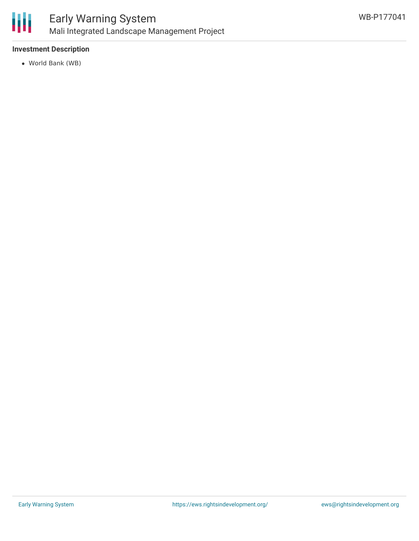

## **Investment Description**

World Bank (WB)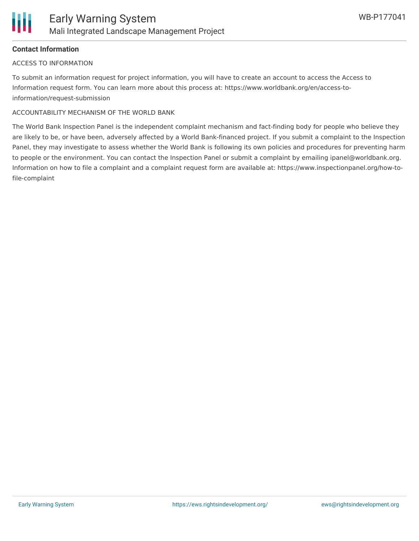### **Contact Information**

#### ACCESS TO INFORMATION

To submit an information request for project information, you will have to create an account to access the Access to Information request form. You can learn more about this process at: https://www.worldbank.org/en/access-toinformation/request-submission

### ACCOUNTABILITY MECHANISM OF THE WORLD BANK

The World Bank Inspection Panel is the independent complaint mechanism and fact-finding body for people who believe they are likely to be, or have been, adversely affected by a World Bank-financed project. If you submit a complaint to the Inspection Panel, they may investigate to assess whether the World Bank is following its own policies and procedures for preventing harm to people or the environment. You can contact the Inspection Panel or submit a complaint by emailing ipanel@worldbank.org. Information on how to file a complaint and a complaint request form are available at: https://www.inspectionpanel.org/how-tofile-complaint